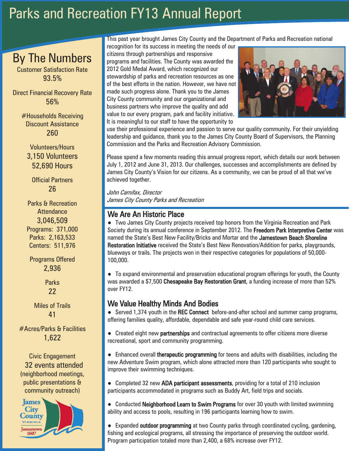# Parks and Recreation FY13 Annual Report

## By The Numbers

Customer Satisfaction Rate 93.5%

Direct Financial Recovery Rate 56%

> #Households Receiving Discount Assistance 260

Volunteers/Hours 3,150 Volunteers 52,690 Hours

Official Partners 26

Parks & Recreation **Attendance** 3,046,509 Programs: 371,000 Parks: 2,163,533 Centers: 511,976

Programs Offered 2,936

> **Parks** 22

Miles of Trails 41

#Acres/Parks & Facilities 1,622

Civic Engagement 32 events attended (neighborhood meetings, public presentations & community outreach)



This past year brought James City County and the Department of Parks and Recreation national

recognition for its success in meeting the needs of our citizens through partnerships and responsive programs and facilities. The County was awarded the 2012 Gold Medal Award, which recognized our stewardship of parks and recreation resources as one of the best efforts in the nation. However, we have not made such progress alone. Thank you to the James City County community and our organizational and business partners who improve the quality and add value to our every program, park and facility initiative. It is meaningful to our staff to have the opportunity to



I

use their professional experience and passion to serve our quality community. For their unyielding leadership and guidance, thank you to the James City County Board of Supervisors, the Planning Commission and the Parks and Recreation Advisory Commission.

Please spend a few moments reading this annual progress report, which details our work between July 1, 2012 and June 31, 2013. Our challenges, successes and accomplishments are defined by James City County's Vision for our citizens. As a community, we can be proud of all that we've achieved together.

John Carnifax, Director James City County Parks and Recreation

### We Are An Historic Place

● Two James City County projects received top honors from the Virginia Recreation and Park Society during its annual conference in September 2012. The Freedom Park Interpretive Center was named the State's Best New Facility/Bricks and Mortar and the Jamestown Beach Shoreline Restoration Initiative received the State's Best New Renovation/Addition for parks, playgrounds, blueways or trails. The projects won in their respective categories for populations of 50,000- 100,000.

● To expand environmental and preservation educational program offerings for youth, the County was awarded a \$7,500 Chesapeake Bay Restoration Grant, a funding increase of more than 52% over FY12.

## We Value Healthy Minds And Bodies

● Served 1,374 youth in the REC Connect before-and-after school and summer camp programs, offering families quality, affordable, dependable and safe year-round child care services.

● Created eight new partnerships and contractual agreements to offer citizens more diverse recreational, sport and community programming.

● Enhanced overall therapeutic programming for teens and adults with disabilities, including the new Adventure Swim program, which alone attracted more than 120 participants who sought to improve their swimming techniques.

● Completed 32 new ADA participant assessments, providing for a total of 210 inclusion participants accommodated in programs such as Buddy Art, field trips and socials.

● Conducted Neighborhood Learn to Swim Programs for over 30 youth with limited swimming ability and access to pools, resulting in 196 participants learning how to swim.

● Expanded outdoor programming at two County parks through coordinated cycling, gardening, fishing and ecological programs, all stressing the importance of preserving the outdoor world. Program participation totaled more than 2,400, a 68% increase over FY12.